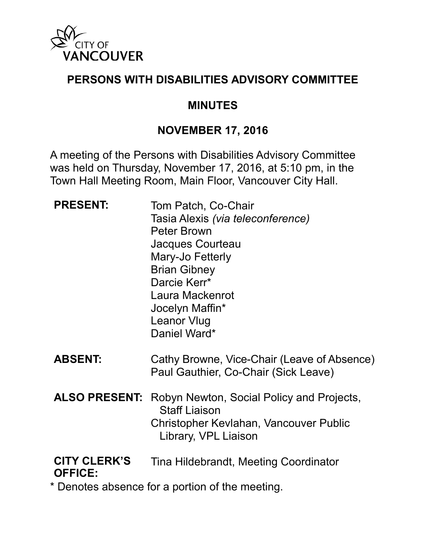

#### **PERSONS WITH DISABILITIES ADVISORY COMMITTEE**

#### **MINUTES**

#### **NOVEMBER 17, 2016**

A meeting of the Persons with Disabilities Advisory Committee was held on Thursday, November 17, 2016, at 5:10 pm, in the Town Hall Meeting Room, Main Floor, Vancouver City Hall.

| <b>PRESENT:</b>                                 | Tom Patch, Co-Chair<br>Tasia Alexis (via teleconference)<br><b>Peter Brown</b><br>Jacques Courteau<br>Mary-Jo Fetterly<br><b>Brian Gibney</b><br>Darcie Kerr*<br>Laura Mackenrot<br>Jocelyn Maffin*<br><b>Leanor Vlug</b><br>Daniel Ward* |
|-------------------------------------------------|-------------------------------------------------------------------------------------------------------------------------------------------------------------------------------------------------------------------------------------------|
| <b>ABSENT:</b>                                  | Cathy Browne, Vice-Chair (Leave of Absence)<br>Paul Gauthier, Co-Chair (Sick Leave)                                                                                                                                                       |
| <b>ALSO PRESENT:</b>                            | Robyn Newton, Social Policy and Projects,<br><b>Staff Liaison</b><br>Christopher Kevlahan, Vancouver Public<br>Library, VPL Liaison                                                                                                       |
| <b>CITY CLERK'S</b><br><b>OFFICE:</b>           | Tina Hildebrandt, Meeting Coordinator                                                                                                                                                                                                     |
| * Denotes absence for a portion of the meeting. |                                                                                                                                                                                                                                           |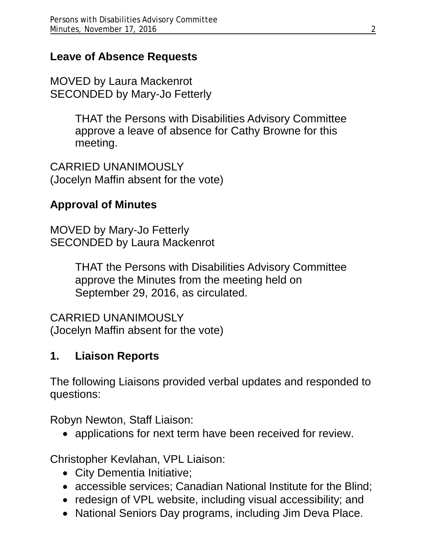### **Leave of Absence Requests**

MOVED by Laura Mackenrot SECONDED by Mary-Jo Fetterly

> THAT the Persons with Disabilities Advisory Committee approve a leave of absence for Cathy Browne for this meeting.

CARRIED UNANIMOUSLY (Jocelyn Maffin absent for the vote)

## **Approval of Minutes**

MOVED by Mary-Jo Fetterly SECONDED by Laura Mackenrot

> THAT the Persons with Disabilities Advisory Committee approve the Minutes from the meeting held on September 29, 2016, as circulated.

CARRIED UNANIMOUSLY (Jocelyn Maffin absent for the vote)

### **1. Liaison Reports**

The following Liaisons provided verbal updates and responded to questions:

Robyn Newton, Staff Liaison:

• applications for next term have been received for review.

Christopher Kevlahan, VPL Liaison:

- City Dementia Initiative;
- accessible services; Canadian National Institute for the Blind;
- redesign of VPL website, including visual accessibility; and
- National Seniors Day programs, including Jim Deva Place.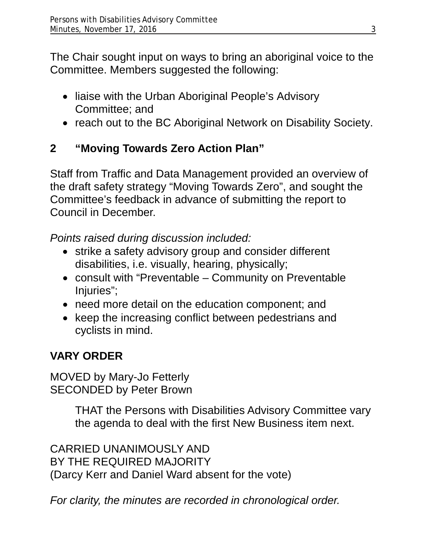The Chair sought input on ways to bring an aboriginal voice to the Committee. Members suggested the following:

- liaise with the Urban Aboriginal People's Advisory Committee; and
- reach out to the BC Aboriginal Network on Disability Society.

# **2 "Moving Towards Zero Action Plan"**

Staff from Traffic and Data Management provided an overview of the draft safety strategy "Moving Towards Zero", and sought the Committee's feedback in advance of submitting the report to Council in December.

*Points raised during discussion included:* 

- strike a safety advisory group and consider different disabilities, i.e. visually, hearing, physically;
- consult with "Preventable Community on Preventable Injuries";
- need more detail on the education component; and
- keep the increasing conflict between pedestrians and cyclists in mind.

# **VARY ORDER**

MOVED by Mary-Jo Fetterly SECONDED by Peter Brown

> THAT the Persons with Disabilities Advisory Committee vary the agenda to deal with the first New Business item next.

CARRIED UNANIMOUSLY AND BY THE REQUIRED MAJORITY (Darcy Kerr and Daniel Ward absent for the vote)

*For clarity, the minutes are recorded in chronological order.*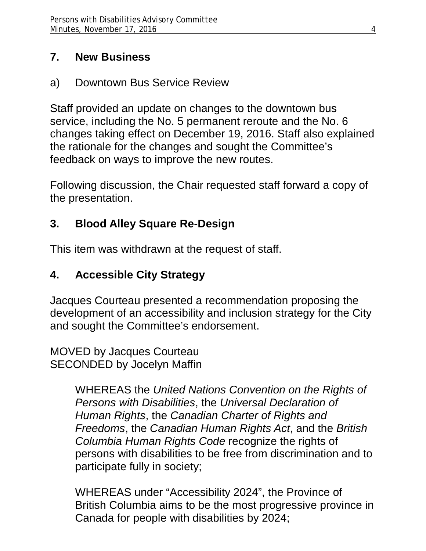### **7. New Business**

a) Downtown Bus Service Review

Staff provided an update on changes to the downtown bus service, including the No. 5 permanent reroute and the No. 6 changes taking effect on December 19, 2016. Staff also explained the rationale for the changes and sought the Committee's feedback on ways to improve the new routes.

Following discussion, the Chair requested staff forward a copy of the presentation.

# **3. Blood Alley Square Re-Design**

This item was withdrawn at the request of staff.

# **4. Accessible City Strategy**

Jacques Courteau presented a recommendation proposing the development of an accessibility and inclusion strategy for the City and sought the Committee's endorsement.

MOVED by Jacques Courteau SECONDED by Jocelyn Maffin

> WHEREAS the *United Nations Convention on the Rights of Persons with Disabilities*, the *Universal Declaration of Human Rights*, the *Canadian Charter of Rights and Freedoms*, the *Canadian Human Rights Act*, and the *British Columbia Human Rights Code* recognize the rights of persons with disabilities to be free from discrimination and to participate fully in society;

> WHEREAS under "Accessibility 2024", the Province of British Columbia aims to be the most progressive province in Canada for people with disabilities by 2024;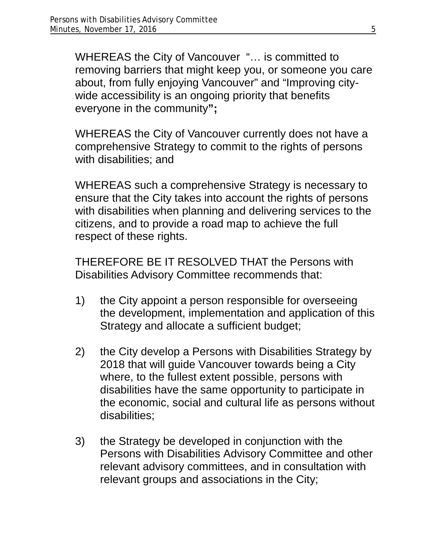WHEREAS the City of Vancouver "… is committed to removing barriers that might keep you, or someone you care about, from fully enjoying Vancouver" and "Improving citywide accessibility is an ongoing priority that benefits everyone in the community**";** 

WHEREAS the City of Vancouver currently does not have a comprehensive Strategy to commit to the rights of persons with disabilities; and

WHEREAS such a comprehensive Strategy is necessary to ensure that the City takes into account the rights of persons with disabilities when planning and delivering services to the citizens, and to provide a road map to achieve the full respect of these rights.

THEREFORE BE IT RESOLVED THAT the Persons with Disabilities Advisory Committee recommends that:

- 1) the City appoint a person responsible for overseeing the development, implementation and application of this Strategy and allocate a sufficient budget;
- 2) the City develop a Persons with Disabilities Strategy by 2018 that will guide Vancouver towards being a City where, to the fullest extent possible, persons with disabilities have the same opportunity to participate in the economic, social and cultural life as persons without disabilities;
- 3) the Strategy be developed in conjunction with the Persons with Disabilities Advisory Committee and other relevant advisory committees, and in consultation with relevant groups and associations in the City;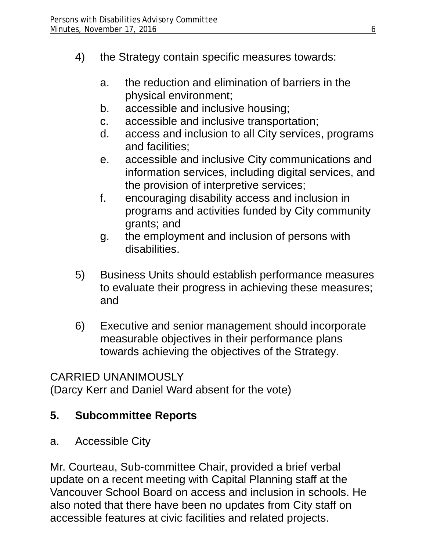- 4) the Strategy contain specific measures towards:
	- a. the reduction and elimination of barriers in the physical environment;
	- b. accessible and inclusive housing;
	- c. accessible and inclusive transportation;
	- d. access and inclusion to all City services, programs and facilities;
	- e. accessible and inclusive City communications and information services, including digital services, and the provision of interpretive services;
	- f. encouraging disability access and inclusion in programs and activities funded by City community grants; and
	- g. the employment and inclusion of persons with disabilities.
- 5) Business Units should establish performance measures to evaluate their progress in achieving these measures; and
- 6) Executive and senior management should incorporate measurable objectives in their performance plans towards achieving the objectives of the Strategy.

### CARRIED UNANIMOUSLY

(Darcy Kerr and Daniel Ward absent for the vote)

### **5. Subcommittee Reports**

a. Accessible City

Mr. Courteau, Sub-committee Chair, provided a brief verbal update on a recent meeting with Capital Planning staff at the Vancouver School Board on access and inclusion in schools. He also noted that there have been no updates from City staff on accessible features at civic facilities and related projects.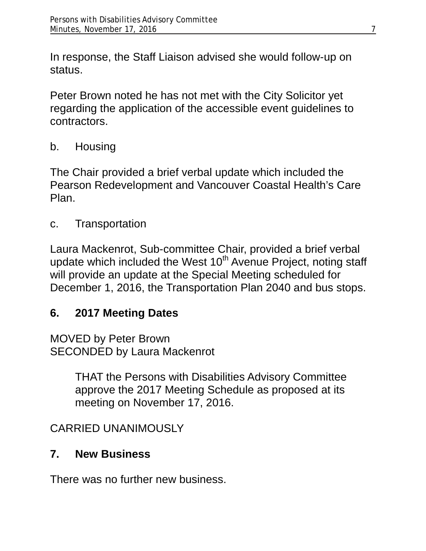In response, the Staff Liaison advised she would follow-up on status.

Peter Brown noted he has not met with the City Solicitor yet regarding the application of the accessible event guidelines to contractors.

b. Housing

The Chair provided a brief verbal update which included the Pearson Redevelopment and Vancouver Coastal Health's Care Plan.

c. Transportation

Laura Mackenrot, Sub-committee Chair, provided a brief verbal update which included the West 10<sup>th</sup> Avenue Project, noting staff will provide an update at the Special Meeting scheduled for December 1, 2016, the Transportation Plan 2040 and bus stops.

## **6. 2017 Meeting Dates**

MOVED by Peter Brown SECONDED by Laura Mackenrot

> THAT the Persons with Disabilities Advisory Committee approve the 2017 Meeting Schedule as proposed at its meeting on November 17, 2016.

## CARRIED UNANIMOUSLY

## **7. New Business**

There was no further new business.